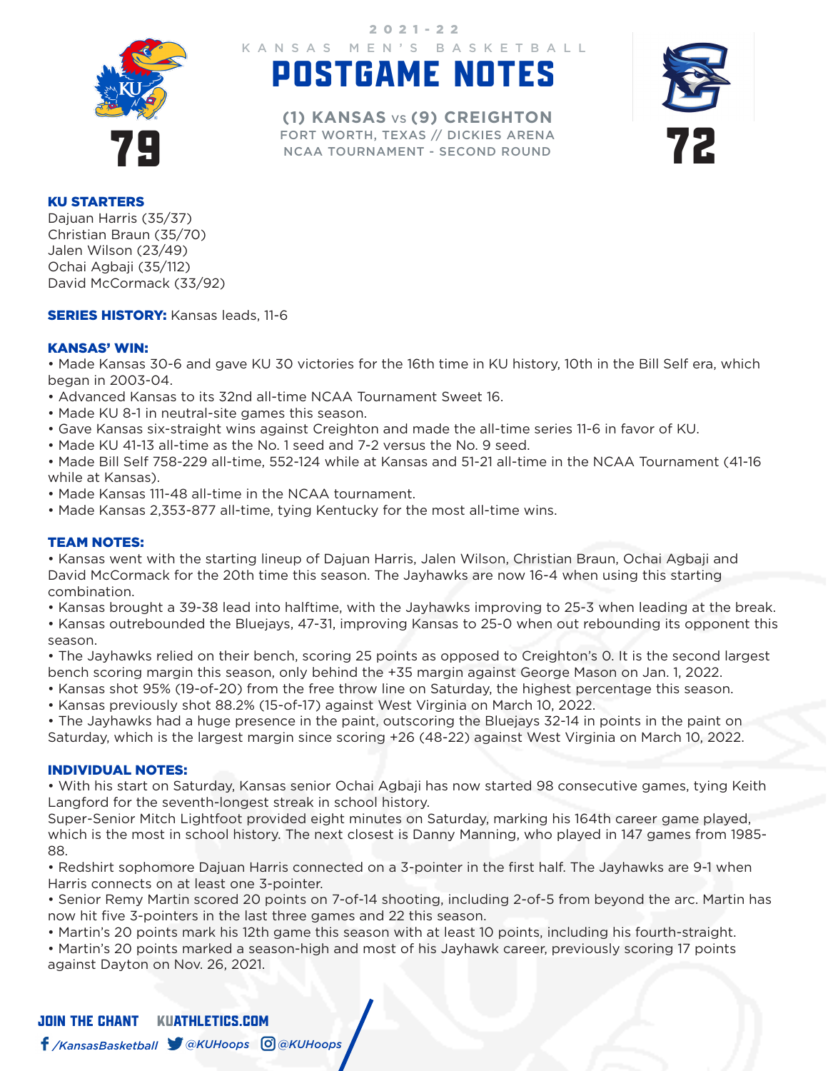

KANSAS MEN'S BASKETBALL 2021-22

# POSTGAME NOTES

FORT WORTH, TEXAS // DICKIES ARENA<br>NCAA TOURNAMENT - SECOND ROUND **(1) KANSAS** VS **(9) CREIGHTON** FORT WORTH, TEXAS // DICKIES ARENA NCAA TOURNAMENT - SECOND ROUND



#### KU STARTERS

Dajuan Harris (35/37) Christian Braun (35/70) Jalen Wilson (23/49) Ochai Agbaji (35/112) David McCormack (33/92)

**SERIES HISTORY:** Kansas leads, 11-6

## KANSAS' WIN:

• Made Kansas 30-6 and gave KU 30 victories for the 16th time in KU history, 10th in the Bill Self era, which began in 2003-04.

- Advanced Kansas to its 32nd all-time NCAA Tournament Sweet 16.
- Made KU 8-1 in neutral-site games this season.
- Gave Kansas six-straight wins against Creighton and made the all-time series 11-6 in favor of KU.
- Made KU 41-13 all-time as the No. 1 seed and 7-2 versus the No. 9 seed.

• Made Bill Self 758-229 all-time, 552-124 while at Kansas and 51-21 all-time in the NCAA Tournament (41-16 while at Kansas).

- Made Kansas 111-48 all-time in the NCAA tournament.
- Made Kansas 2,353-877 all-time, tying Kentucky for the most all-time wins.

## TEAM NOTES:

• Kansas went with the starting lineup of Dajuan Harris, Jalen Wilson, Christian Braun, Ochai Agbaji and David McCormack for the 20th time this season. The Jayhawks are now 16-4 when using this starting combination.

• Kansas brought a 39-38 lead into halftime, with the Jayhawks improving to 25-3 when leading at the break.

• Kansas outrebounded the Bluejays, 47-31, improving Kansas to 25-0 when out rebounding its opponent this season.

• The Jayhawks relied on their bench, scoring 25 points as opposed to Creighton's 0. It is the second largest bench scoring margin this season, only behind the +35 margin against George Mason on Jan. 1, 2022.

- Kansas shot 95% (19-of-20) from the free throw line on Saturday, the highest percentage this season.
- Kansas previously shot 88.2% (15-of-17) against West Virginia on March 10, 2022.

• The Jayhawks had a huge presence in the paint, outscoring the Bluejays 32-14 in points in the paint on Saturday, which is the largest margin since scoring +26 (48-22) against West Virginia on March 10, 2022.

#### INDIVIDUAL NOTES:

• With his start on Saturday, Kansas senior Ochai Agbaji has now started 98 consecutive games, tying Keith Langford for the seventh-longest streak in school history.

Super-Senior Mitch Lightfoot provided eight minutes on Saturday, marking his 164th career game played, which is the most in school history. The next closest is Danny Manning, who played in 147 games from 1985- 88.

• Redshirt sophomore Dajuan Harris connected on a 3-pointer in the first half. The Jayhawks are 9-1 when Harris connects on at least one 3-pointer.

• Senior Remy Martin scored 20 points on 7-of-14 shooting, including 2-of-5 from beyond the arc. Martin has now hit five 3-pointers in the last three games and 22 this season.

• Martin's 20 points mark his 12th game this season with at least 10 points, including his fourth-straight.

• Martin's 20 points marked a season-high and most of his Jayhawk career, previously scoring 17 points against Dayton on Nov. 26, 2021.